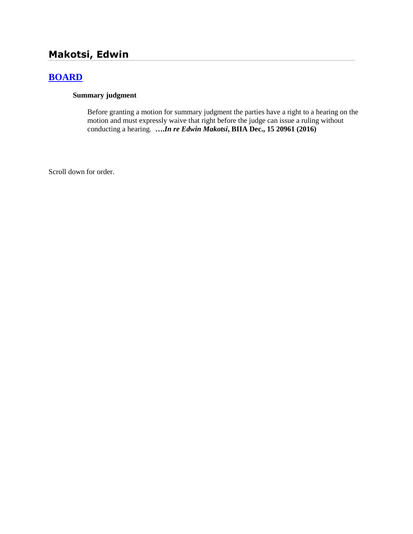# **Makotsi, Edwin**

# **[BOARD](http://www.biia.wa.gov/SDSubjectIndex.html#BOARD)**

### **Summary judgment**

Before granting a motion for summary judgment the parties have a right to a hearing on the motion and must expressly waive that right before the judge can issue a ruling without conducting a hearing. **….***In re Edwin Makotsi***, BIIA Dec., 15 20961 (2016)**

Scroll down for order.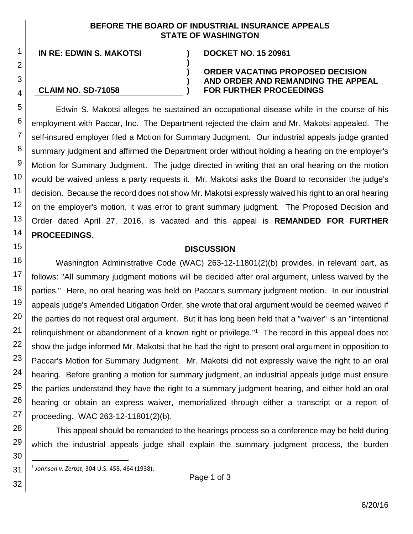### **BEFORE THE BOARD OF INDUSTRIAL INSURANCE APPEALS STATE OF WASHINGTON**

**)**

**) ) )**

**IN RE: EDWIN S. MAKOTSI ) DOCKET NO. 15 20961**

#### **CLAIM NO. SD-71058**

1

2

3

4

15

30

l

32

#### **ORDER VACATING PROPOSED DECISION AND ORDER AND REMANDING THE APPEAL FOR FURTHER PROCEEDINGS**

5 6 7 8 9 10 11 12 13 14 Edwin S. Makotsi alleges he sustained an occupational disease while in the course of his employment with Paccar, Inc. The Department rejected the claim and Mr. Makotsi appealed. The self-insured employer filed a Motion for Summary Judgment. Our industrial appeals judge granted summary judgment and affirmed the Department order without holding a hearing on the employer's Motion for Summary Judgment. The judge directed in writing that an oral hearing on the motion would be waived unless a party requests it. Mr. Makotsi asks the Board to reconsider the judge's decision. Because the record does not show Mr. Makotsi expressly waived his right to an oral hearing on the employer's motion, it was error to grant summary judgment. The Proposed Decision and Order dated April 27, 2016, is vacated and this appeal is **REMANDED FOR FURTHER PROCEEDINGS**.

#### **DISCUSSION**

16 17 18 19 20 21 22 23 24 25 26 27 Washington Administrative Code (WAC) 263-12-11801(2)(b) provides, in relevant part, as follows: "All summary judgment motions will be decided after oral argument, unless waived by the parties." Here, no oral hearing was held on Paccar's summary judgment motion. In our industrial appeals judge's Amended Litigation Order, she wrote that oral argument would be deemed waived if the parties do not request oral argument. But it has long been held that a "waiver" is an "intentional relinquishment or abandonment of a known right or privilege."<sup>1</sup> The record in this appeal does not show the judge informed Mr. Makotsi that he had the right to present oral argument in opposition to Paccar's Motion for Summary Judgment. Mr. Makotsi did not expressly waive the right to an oral hearing. Before granting a motion for summary judgment, an industrial appeals judge must ensure the parties understand they have the right to a summary judgment hearing, and either hold an oral hearing or obtain an express waiver, memorialized through either a transcript or a report of proceeding. WAC 263-12-11801(2)(b).

28 29 This appeal should be remanded to the hearings process so a conference may be held during which the industrial appeals judge shall explain the summary judgment process, the burden

31 1 *Johnson v. Zerbst*, 304 U.S. 458, 464 (1938).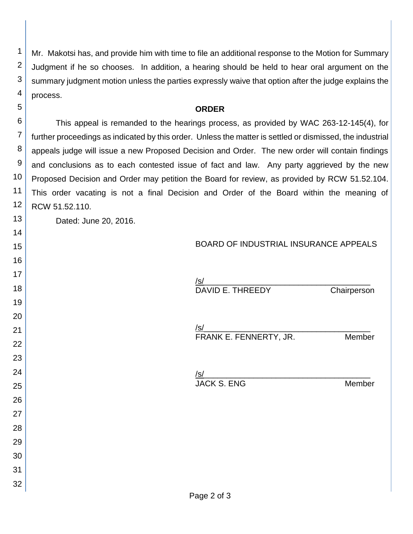Mr. Makotsi has, and provide him with time to file an additional response to the Motion for Summary Judgment if he so chooses. In addition, a hearing should be held to hear oral argument on the summary judgment motion unless the parties expressly waive that option after the judge explains the process.

#### **ORDER**

 This appeal is remanded to the hearings process, as provided by WAC 263-12-145(4), for further proceedings as indicated by this order. Unless the matter is settled or dismissed, the industrial appeals judge will issue a new Proposed Decision and Order. The new order will contain findings and conclusions as to each contested issue of fact and law. Any party aggrieved by the new Proposed Decision and Order may petition the Board for review, as provided by RCW 51.52.104. This order vacating is not a final Decision and Order of the Board within the meaning of RCW 51.52.110.

Dated: June 20, 2016.

 

 

## BOARD OF INDUSTRIAL INSURANCE APPEALS

| <u>/s/</u><br><u>/s/</u><br>DAVID E. THREEDY | Chairperson |
|----------------------------------------------|-------------|
| <u>/s/</u><br>FRANK E. FENNERTY, JR.         | Member      |
| <u>/s/</u><br>JACK S. ENG                    | Member      |
|                                              |             |
|                                              |             |